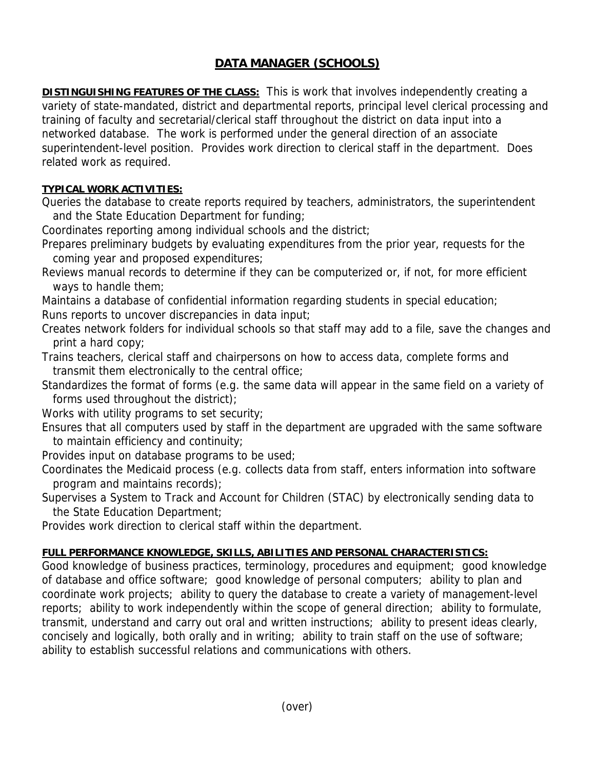## **DATA MANAGER (SCHOOLS)**

**DISTINGUISHING FEATURES OF THE CLASS:** This is work that involves independently creating a variety of state-mandated, district and departmental reports, principal level clerical processing and training of faculty and secretarial/clerical staff throughout the district on data input into a networked database. The work is performed under the general direction of an associate superintendent-level position. Provides work direction to clerical staff in the department. Does related work as required.

## **TYPICAL WORK ACTIVITIES:**

Queries the database to create reports required by teachers, administrators, the superintendent and the State Education Department for funding;

Coordinates reporting among individual schools and the district;

- Prepares preliminary budgets by evaluating expenditures from the prior year, requests for the coming year and proposed expenditures;
- Reviews manual records to determine if they can be computerized or, if not, for more efficient ways to handle them;

Maintains a database of confidential information regarding students in special education; Runs reports to uncover discrepancies in data input;

- Creates network folders for individual schools so that staff may add to a file, save the changes and print a hard copy;
- Trains teachers, clerical staff and chairpersons on how to access data, complete forms and transmit them electronically to the central office;
- Standardizes the format of forms (e.g. the same data will appear in the same field on a variety of forms used throughout the district);
- Works with utility programs to set security;
- Ensures that all computers used by staff in the department are upgraded with the same software to maintain efficiency and continuity;
- Provides input on database programs to be used;
- Coordinates the Medicaid process (e.g. collects data from staff, enters information into software program and maintains records);
- Supervises a System to Track and Account for Children (STAC) by electronically sending data to the State Education Department;
- Provides work direction to clerical staff within the department.

## **FULL PERFORMANCE KNOWLEDGE, SKILLS, ABILITIES AND PERSONAL CHARACTERISTICS:**

Good knowledge of business practices, terminology, procedures and equipment; good knowledge of database and office software; good knowledge of personal computers; ability to plan and coordinate work projects; ability to query the database to create a variety of management-level reports; ability to work independently within the scope of general direction; ability to formulate, transmit, understand and carry out oral and written instructions; ability to present ideas clearly, concisely and logically, both orally and in writing; ability to train staff on the use of software; ability to establish successful relations and communications with others.